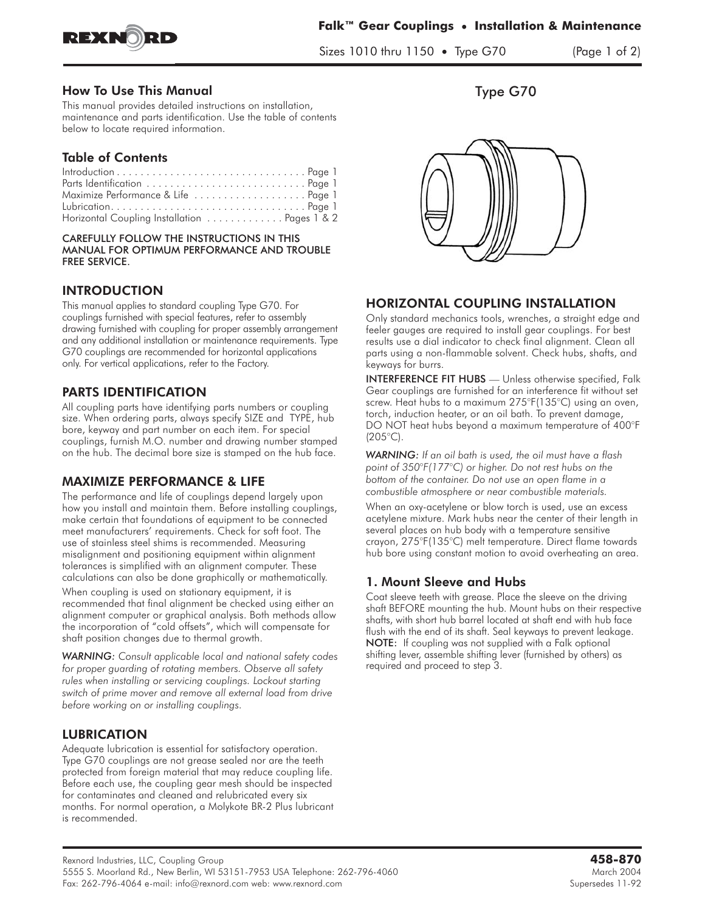

Sizes 1010 thru 1150 **•** Type G70 (Page 1 of 2)

#### How To Use This Manual

This manual provides detailed instructions on installation, maintenance and parts identification. Use the table of contents below to locate required information.

# Table of Contents

| Maximize Performance & Life  Page 1          |  |  |  |  |  |  |  |
|----------------------------------------------|--|--|--|--|--|--|--|
|                                              |  |  |  |  |  |  |  |
| Horizontal Coupling Installation Pages 1 & 2 |  |  |  |  |  |  |  |

#### CAREFULLY FOLLOW THE INSTRUCTIONS IN THIS MANUAL FOR OPTIMUM PERFORMANCE AND TROUBLE FREE SERVICE.

## **INTRODUCTION**

This manual applies to standard coupling Type G70. For couplings furnished with special features, refer to assembly drawing furnished with coupling for proper assembly arrangement and any additional installation or maintenance requirements. Type G70 couplings are recommended for horizontal applications only. For vertical applications, refer to the Factory.

## PARTS IDENTIFICATION

All coupling parts have identifying parts numbers or coupling size. When ordering parts, always specify SIZE and TYPE, hub bore, keyway and part number on each item. For special couplings, furnish M.O. number and drawing number stamped on the hub. The decimal bore size is stamped on the hub face.

#### MAXIMIZE PERFORMANCE & LIFE

The performance and life of couplings depend largely upon how you install and maintain them. Before installing couplings, make certain that foundations of equipment to be connected meet manufacturers' requirements. Check for soft foot. The use of stainless steel shims is recommended. Measuring misalignment and positioning equipment within alignment tolerances is simplified with an alignment computer. These calculations can also be done graphically or mathematically.

When coupling is used on stationary equipment, it is recommended that final alignment be checked using either an alignment computer or graphical analysis. Both methods allow the incorporation of "cold offsets", which will compensate for shaft position changes due to thermal growth.

*WARNING: Consult applicable local and national safety codes for proper guarding of rotating members. Observe all safety rules when installing or servicing couplings. Lockout starting switch of prime mover and remove all external load from drive before working on or installing couplings.*

## **LUBRICATION**

Adequate lubrication is essential for satisfactory operation. Type G70 couplings are not grease sealed nor are the teeth protected from foreign material that may reduce coupling life. Before each use, the coupling gear mesh should be inspected for contaminates and cleaned and relubricated every six months. For normal operation, a Molykote BR-2 Plus lubricant is recommended.

Type G70



### **HORIZONTAL COUPLING INSTALLATION**

Only standard mechanics tools, wrenches, a straight edge and feeler gauges are required to install gear couplings. For best results use a dial indicator to check final alignment. Clean all parts using a non-flammable solvent. Check hubs, shafts, and keyways for burrs.

INTERFERENCE FIT HUBS — Unless otherwise specified, Falk Gear couplings are furnished for an interference fit without set screw. Heat hubs to a maximum 275°F(135°C) using an oven, torch, induction heater, or an oil bath. To prevent damage, DO NOT heat hubs beyond a maximum temperature of 400°F  $(205^{\circ}C)$ .

*WARNING: If an oil bath is used, the oil must have a flash point of 350°F(177°C) or higher. Do not rest hubs on the bottom of the container. Do not use an open flame in a combustible atmosphere or near combustible materials.*

When an oxy-acetylene or blow torch is used, use an excess acetylene mixture. Mark hubs near the center of their length in several places on hub body with a temperature sensitive crayon, 275°F(135°C) melt temperature. Direct flame towards hub bore using constant motion to avoid overheating an area.

## 1. Mount Sleeve and Hubs

Coat sleeve teeth with grease. Place the sleeve on the driving shaft BEFORE mounting the hub. Mount hubs on their respective shafts, with short hub barrel located at shaft end with hub face flush with the end of its shaft. Seal keyways to prevent leakage. NOTE: If coupling was not supplied with a Falk optional shifting lever, assemble shifting lever (furnished by others) as required and proceed to step 3.